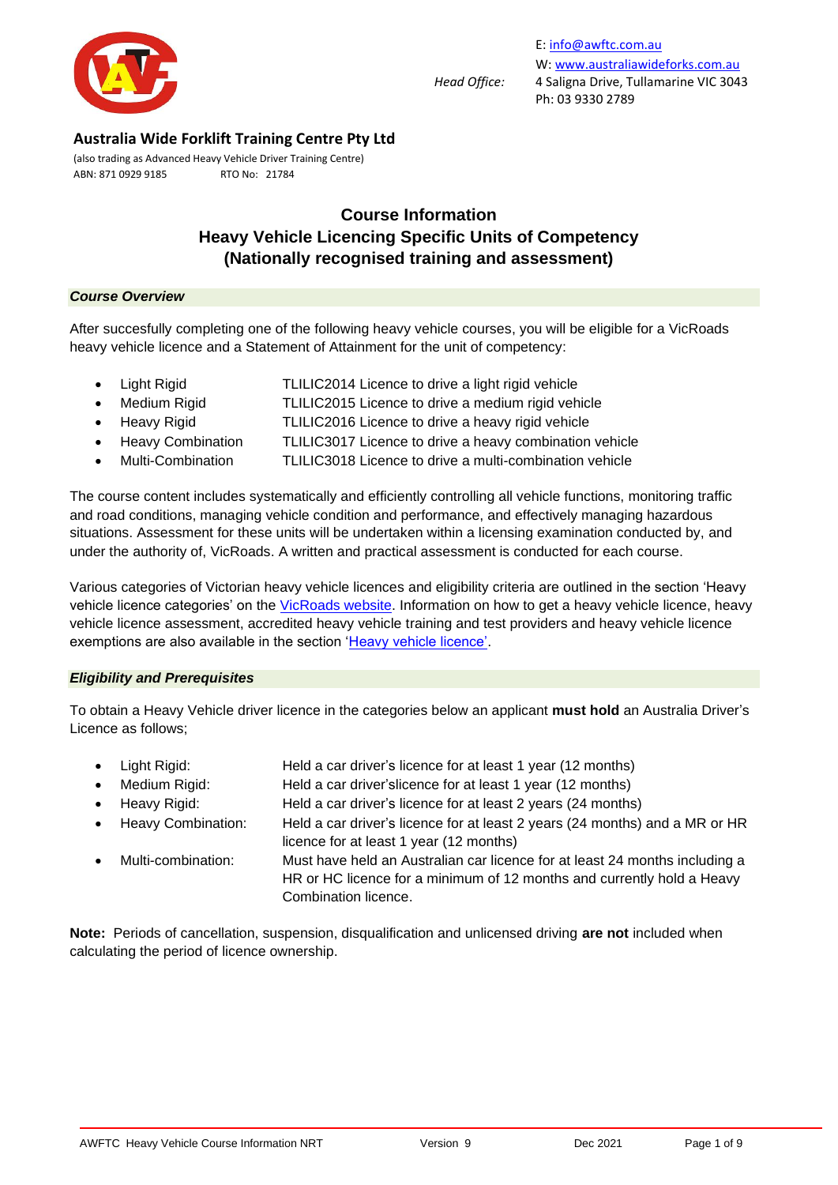

(also trading as Advanced Heavy Vehicle Driver Training Centre) ABN: 871 0929 9185 RTO No: 21784

# **Course Information Heavy Vehicle Licencing Specific Units of Competency (Nationally recognised training and assessment)**

#### *Course Overview*

After succesfully completing one of the following heavy vehicle courses, you will be eligible for a VicRoads heavy vehicle licence and a Statement of Attainment for the unit of competency:

- Light Rigid **TLILIC2014 Licence to drive a light rigid vehicle** 
	- Medium Rigid TLILIC2015 Licence to drive a medium rigid vehicle
	- Heavy Rigid TLILIC2016 Licence to drive a heavy rigid vehicle
	- Heavy Combination TLILIC3017 Licence to drive a heavy combination vehicle
- Multi-Combination TLILIC3018 Licence to drive a multi-combination vehicle

The course content includes systematically and efficiently controlling all vehicle functions, monitoring traffic and road conditions, managing vehicle condition and performance, and effectively managing hazardous situations. Assessment for these units will be undertaken within a licensing examination conducted by, and under the authority of, VicRoads. A written and practical assessment is conducted for each course.

Various categories of Victorian heavy vehicle licences and eligibility criteria are outlined in the section 'Heavy vehicle licence categories' on the [VicRoads website.](https://www.vicroads.vic.gov.au/licences/licence-and-permit-types/licence-categories) Information on how to get a heavy vehicle licence, heavy vehicle licence assessment, accredited heavy vehicle training and test providers and heavy vehicle licence exemptions are also available in the section ['Heavy vehicle licence'.](https://www.vicroads.vic.gov.au/licences/licence-and-permit-types/heavy-vehicle-licence)

#### *Eligibility and Prerequisites*

To obtain a Heavy Vehicle driver licence in the categories below an applicant **must hold** an Australia Driver's Licence as follows;

- Light Rigid: Held a car driver's licence for at least 1 year (12 months)
- Medium Rigid: Held a car driver'slicence for at least 1 year (12 months)
- Heavy Rigid: Held a car driver's licence for at least 2 years (24 months)
- Heavy Combination: Held a car driver's licence for at least 2 years (24 months) and a MR or HR licence for at least 1 year (12 months)
- Multi-combination: Must have held an Australian car licence for at least 24 months including a HR or HC licence for a minimum of 12 months and currently hold a Heavy Combination licence.

**Note:** Periods of cancellation, suspension, disqualification and unlicensed driving **are not** included when calculating the period of licence ownership.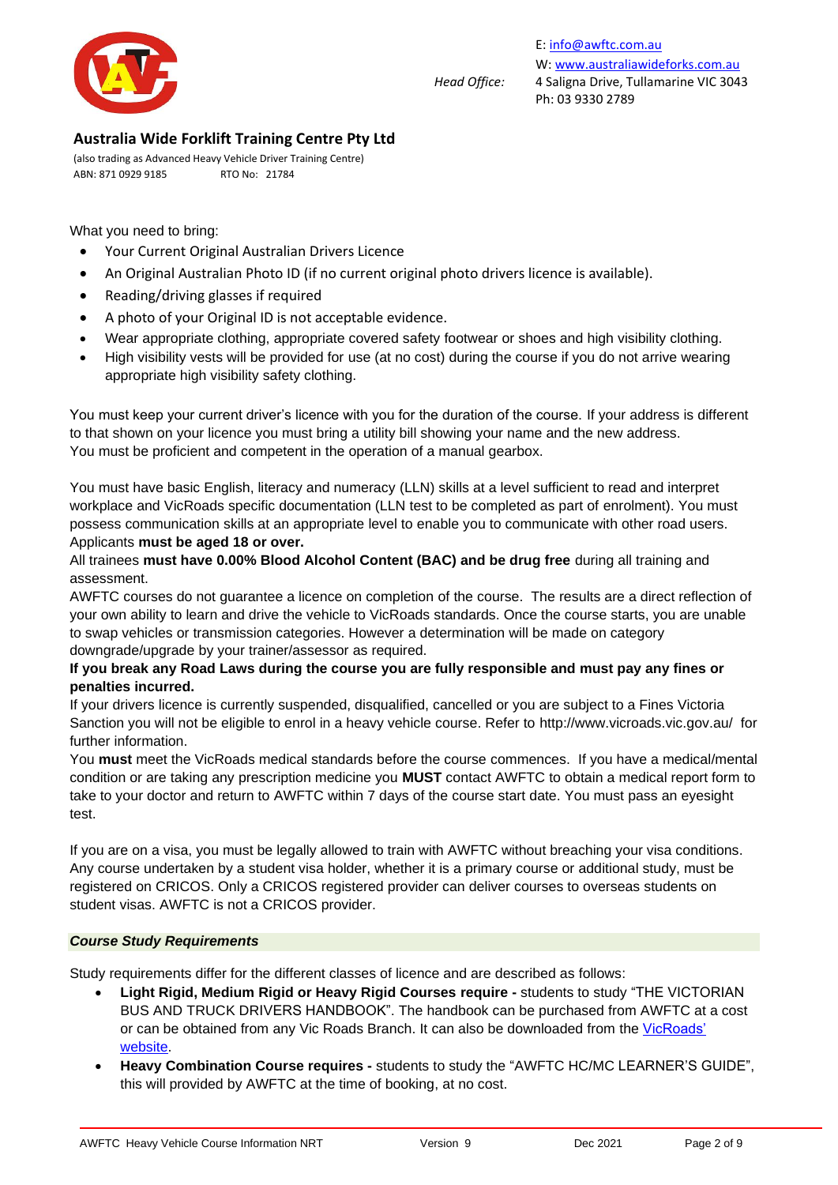

E[: info@awftc.com.au](mailto:info@awftc.com.au) W[: www.australiawideforks.com.au](http://www.australiawideforks.com.au/) *Head Office:* 4 Saligna Drive, Tullamarine VIC 3043 Ph: 03 9330 2789

## **Australia Wide Forklift Training Centre Pty Ltd**

(also trading as Advanced Heavy Vehicle Driver Training Centre) ABN: 871 0929 9185 RTO No: 21784

What you need to bring:

- Your Current Original Australian Drivers Licence
- An Original Australian Photo ID (if no current original photo drivers licence is available).
- Reading/driving glasses if required
- A photo of your Original ID is not acceptable evidence.
- Wear appropriate clothing, appropriate covered safety footwear or shoes and high visibility clothing.
- High visibility vests will be provided for use (at no cost) during the course if you do not arrive wearing appropriate high visibility safety clothing.

You must keep your current driver's licence with you for the duration of the course. If your address is different to that shown on your licence you must bring a utility bill showing your name and the new address. You must be proficient and competent in the operation of a manual gearbox.

You must have basic English, literacy and numeracy (LLN) skills at a level sufficient to read and interpret workplace and VicRoads specific documentation (LLN test to be completed as part of enrolment). You must possess communication skills at an appropriate level to enable you to communicate with other road users. Applicants **must be aged 18 or over.**

All trainees **must have 0.00% Blood Alcohol Content (BAC) and be drug free** during all training and assessment.

AWFTC courses do not guarantee a licence on completion of the course. The results are a direct reflection of your own ability to learn and drive the vehicle to VicRoads standards. Once the course starts, you are unable to swap vehicles or transmission categories. However a determination will be made on category downgrade/upgrade by your trainer/assessor as required.

### **If you break any Road Laws during the course you are fully responsible and must pay any fines or penalties incurred.**

If your drivers licence is currently suspended, disqualified, cancelled or you are subject to a Fines Victoria Sanction you will not be eligible to enrol in a heavy vehicle course. Refer to<http://www.vicroads.vic.gov.au/>for further information.

You **must** meet the VicRoads medical standards before the course commences. If you have a medical/mental condition or are taking any prescription medicine you **MUST** contact AWFTC to obtain a medical report form to take to your doctor and return to AWFTC within 7 days of the course start date. You must pass an eyesight test.

If you are on a visa, you must be legally allowed to train with AWFTC without breaching your visa conditions. Any course undertaken by a student visa holder, whether it is a primary course or additional study, must be registered on CRICOS. Only a CRICOS registered provider can deliver courses to overseas students on student visas. AWFTC is not a CRICOS provider.

#### *Course Study Requirements*

Study requirements differ for the different classes of licence and are described as follows:

- **Light Rigid, Medium Rigid or Heavy Rigid Courses require -** students to study "THE VICTORIAN BUS AND TRUCK DRIVERS HANDBOOK". The handbook can be purchased from AWFTC at a cost or can be obtained from any Vic Roads Branch. It can also be downloaded from the [VicRoads'](https://www.vicroads.vic.gov.au/business-and-industry/heavy-vehicle-industry/heavy-vehicle-road-safety/bus-and-truck-driver-handbook)  [website.](https://www.vicroads.vic.gov.au/business-and-industry/heavy-vehicle-industry/heavy-vehicle-road-safety/bus-and-truck-driver-handbook)
- **Heavy Combination Course requires -** students to study the "AWFTC HC/MC LEARNER'S GUIDE", this will provided by AWFTC at the time of booking, at no cost.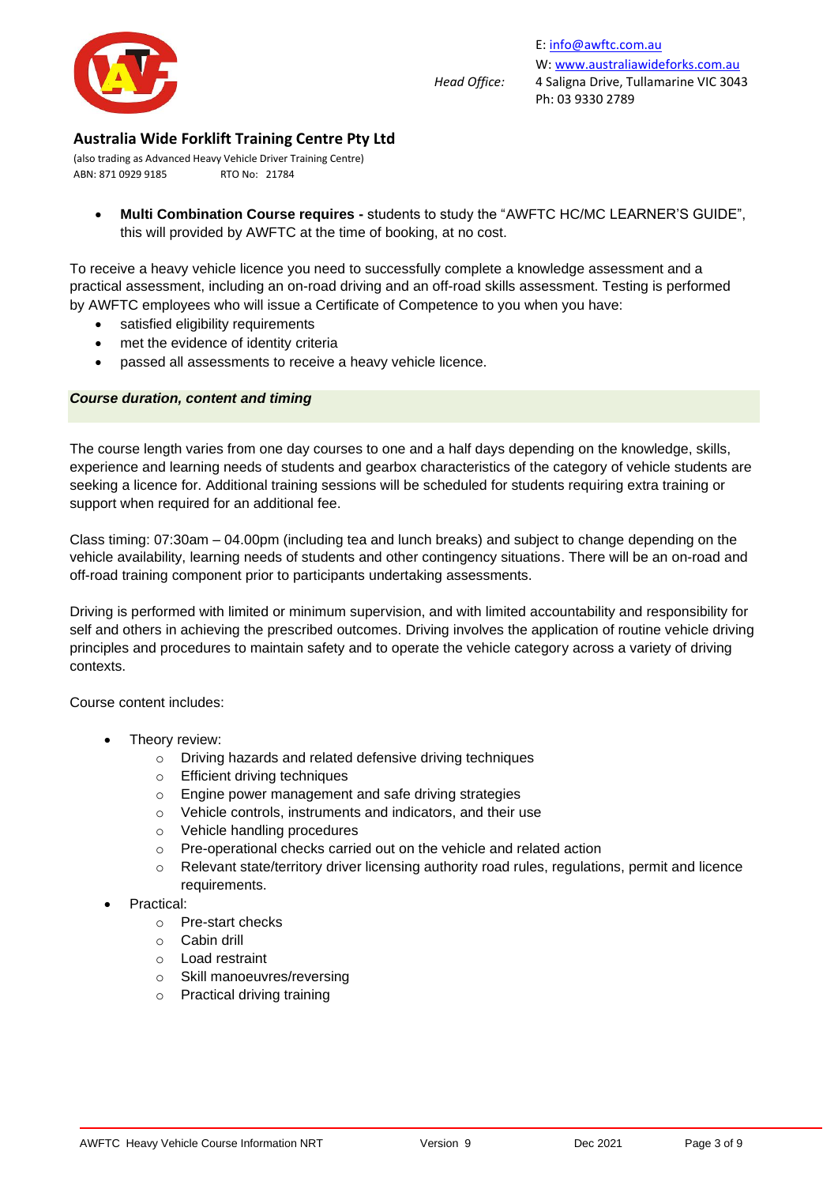

(also trading as Advanced Heavy Vehicle Driver Training Centre) ABN: 871 0929 9185 RTO No: 21784

• **Multi Combination Course requires -** students to study the "AWFTC HC/MC LEARNER'S GUIDE", this will provided by AWFTC at the time of booking, at no cost.

To receive a heavy vehicle licence you need to successfully complete a knowledge assessment and a practical assessment, including an on-road driving and an off-road skills assessment. Testing is performed by AWFTC employees who will issue a Certificate of Competence to you when you have:

- satisfied eligibility requirements
- met the [evidence of identity](https://www.vicroads.vic.gov.au/licences/evidence-of-identity/types-of-identity-documents) criteria
- passed all assessments to receive a heavy vehicle licence.

#### *Course duration, content and timing*

The course length varies from one day courses to one and a half days depending on the knowledge, skills, experience and learning needs of students and gearbox characteristics of the category of vehicle students are seeking a licence for. Additional training sessions will be scheduled for students requiring extra training or support when required for an additional fee.

Class timing: 07:30am – 04.00pm (including tea and lunch breaks) and subject to change depending on the vehicle availability, learning needs of students and other contingency situations. There will be an on-road and off-road training component prior to participants undertaking assessments.

Driving is performed with limited or minimum supervision, and with limited accountability and responsibility for self and others in achieving the prescribed outcomes. Driving involves the application of routine vehicle driving principles and procedures to maintain safety and to operate the vehicle category across a variety of driving contexts.

Course content includes:

- Theory review:
	- o Driving hazards and related defensive driving techniques
	- o Efficient driving techniques
	- o Engine power management and safe driving strategies
	- o Vehicle controls, instruments and indicators, and their use
	- o Vehicle handling procedures
	- o Pre-operational checks carried out on the vehicle and related action
	- o Relevant state/territory driver licensing authority road rules, regulations, permit and licence requirements.
- Practical:
	- o Pre-start checks
	- o Cabin drill
	- o Load restraint
	- o Skill manoeuvres/reversing
	- o Practical driving training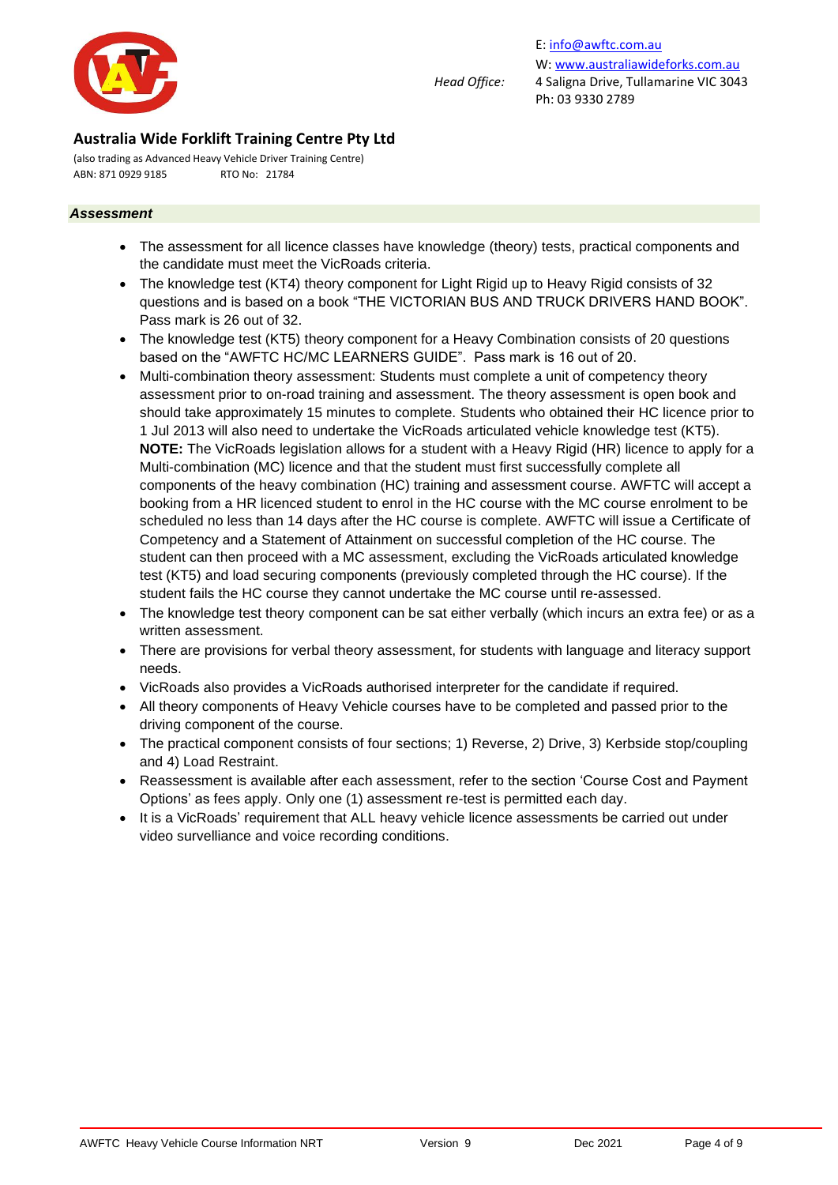

(also trading as Advanced Heavy Vehicle Driver Training Centre) ABN: 871 0929 9185 RTO No: 21784

#### *Assessment*

- The assessment for all licence classes have knowledge (theory) tests, practical components and the candidate must meet the VicRoads criteria.
- The knowledge test (KT4) theory component for Light Rigid up to Heavy Rigid consists of 32 questions and is based on a book "THE VICTORIAN BUS AND TRUCK DRIVERS HAND BOOK". Pass mark is 26 out of 32.
- The knowledge test (KT5) theory component for a Heavy Combination consists of 20 questions based on the "AWFTC HC/MC LEARNERS GUIDE". Pass mark is 16 out of 20.
- Multi-combination theory assessment: Students must complete a unit of competency theory assessment prior to on-road training and assessment. The theory assessment is open book and should take approximately 15 minutes to complete. Students who obtained their HC licence prior to 1 Jul 2013 will also need to undertake the VicRoads articulated vehicle knowledge test (KT5). **NOTE:** The VicRoads legislation allows for a student with a Heavy Rigid (HR) licence to apply for a Multi-combination (MC) licence and that the student must first successfully complete all components of the heavy combination (HC) training and assessment course. AWFTC will accept a booking from a HR licenced student to enrol in the HC course with the MC course enrolment to be scheduled no less than 14 days after the HC course is complete. AWFTC will issue a Certificate of Competency and a Statement of Attainment on successful completion of the HC course. The student can then proceed with a MC assessment, excluding the VicRoads articulated knowledge test (KT5) and load securing components (previously completed through the HC course). If the student fails the HC course they cannot undertake the MC course until re-assessed.
- The knowledge test theory component can be sat either verbally (which incurs an extra fee) or as a written assessment.
- There are provisions for verbal theory assessment, for students with language and literacy support needs.
- VicRoads also provides a VicRoads authorised interpreter for the candidate if required.
- All theory components of Heavy Vehicle courses have to be completed and passed prior to the driving component of the course.
- The practical component consists of four sections; 1) Reverse, 2) Drive, 3) Kerbside stop/coupling and 4) Load Restraint.
- Reassessment is available after each assessment, refer to the section 'Course Cost and Payment Options' as fees apply. Only one (1) assessment re-test is permitted each day.
- It is a VicRoads' requirement that ALL heavy vehicle licence assessments be carried out under video survelliance and voice recording conditions.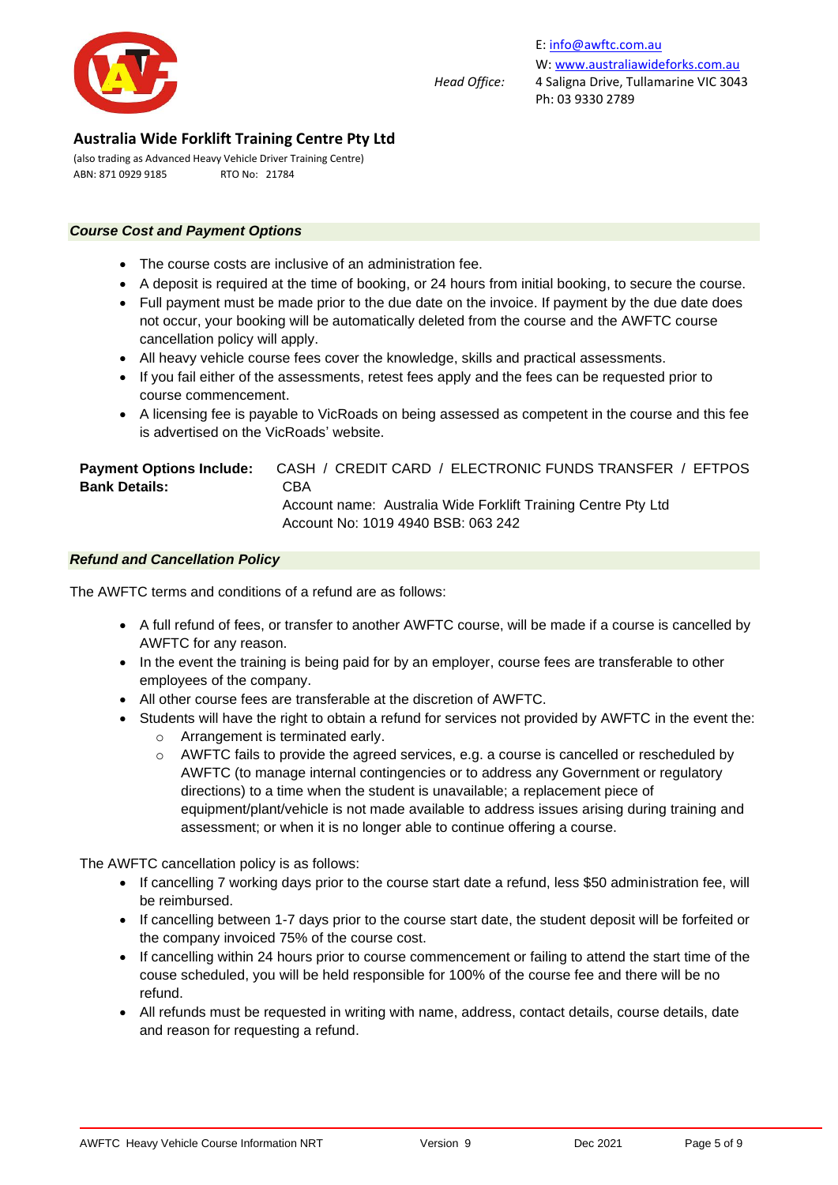

E[: info@awftc.com.au](mailto:info@awftc.com.au) W[: www.australiawideforks.com.au](http://www.australiawideforks.com.au/) *Head Office:* 4 Saligna Drive, Tullamarine VIC 3043 Ph: 03 9330 2789

## **Australia Wide Forklift Training Centre Pty Ltd**

(also trading as Advanced Heavy Vehicle Driver Training Centre) ABN: 871 0929 9185 RTO No: 21784

#### *Course Cost and Payment Options*

- The course costs are inclusive of an administration fee.
- A deposit is required at the time of booking, or 24 hours from initial booking, to secure the course.
- Full payment must be made prior to the due date on the invoice. If payment by the due date does not occur, your booking will be automatically deleted from the course and the AWFTC course cancellation policy will apply.
- All heavy vehicle course fees cover the knowledge, skills and practical assessments.
- If you fail either of the assessments, retest fees apply and the fees can be requested prior to course commencement.
- A licensing fee is payable to VicRoads on being assessed as competent in the course and this fee is advertised on the VicRoads' website.

| <b>Payment Options Include:</b> | CASH / CREDIT CARD / ELECTRONIC FUNDS TRANSFER / EFTPOS       |
|---------------------------------|---------------------------------------------------------------|
| <b>Bank Details:</b>            | CBA                                                           |
|                                 | Account name: Australia Wide Forklift Training Centre Pty Ltd |
|                                 | Account No: 1019 4940 BSB: 063 242                            |

#### *Refund and Cancellation Policy*

The AWFTC terms and conditions of a refund are as follows:

- A full refund of fees, or transfer to another AWFTC course, will be made if a course is cancelled by AWFTC for any reason.
- In the event the training is being paid for by an employer, course fees are transferable to other employees of the company.
- All other course fees are transferable at the discretion of AWFTC.
- Students will have the right to obtain a refund for services not provided by AWFTC in the event the:
	- o Arrangement is terminated early.
	- o AWFTC fails to provide the agreed services, e.g. a course is cancelled or rescheduled by AWFTC (to manage internal contingencies or to address any Government or regulatory directions) to a time when the student is unavailable; a replacement piece of equipment/plant/vehicle is not made available to address issues arising during training and assessment; or when it is no longer able to continue offering a course.

The AWFTC cancellation policy is as follows:

- If cancelling 7 working days prior to the course start date a refund, less \$50 administration fee, will be reimbursed.
- If cancelling between 1-7 days prior to the course start date, the student deposit will be forfeited or the company invoiced 75% of the course cost.
- If cancelling within 24 hours prior to course commencement or failing to attend the start time of the couse scheduled, you will be held responsible for 100% of the course fee and there will be no refund.
- All refunds must be requested in writing with name, address, contact details, course details, date and reason for requesting a refund.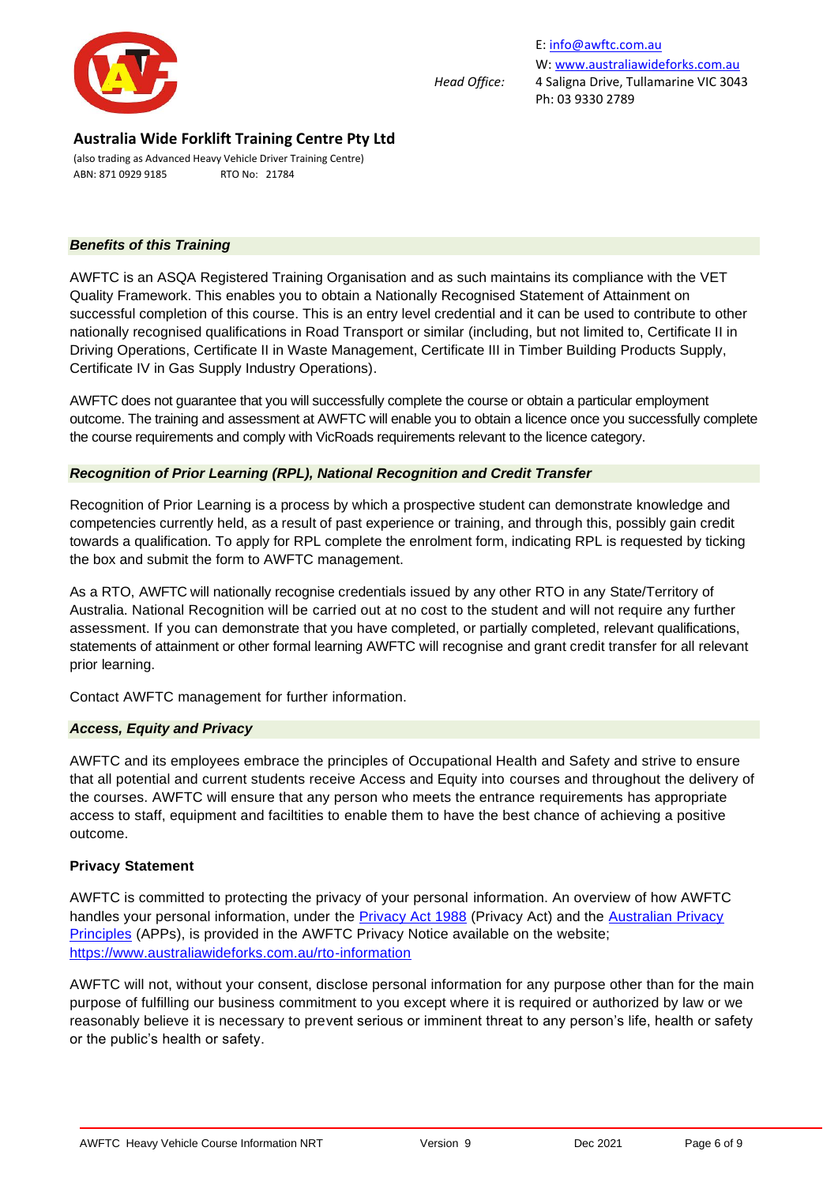

(also trading as Advanced Heavy Vehicle Driver Training Centre) ABN: 871 0929 9185 RTO No: 21784

#### *Benefits of this Training*

AWFTC is an ASQA Registered Training Organisation and as such maintains its compliance with the VET Quality Framework. This enables you to obtain a Nationally Recognised Statement of Attainment on successful completion of this course. This is an entry level credential and it can be used to contribute to other nationally recognised qualifications in Road Transport or similar (including, but not limited to, Certificate II in Driving Operations, Certificate II in Waste Management, Certificate III in Timber Building Products Supply, Certificate IV in Gas Supply Industry Operations).

AWFTC does not guarantee that you will successfully complete the course or obtain a particular employment outcome. The training and assessment at AWFTC will enable you to obtain a licence once you successfully complete the course requirements and comply with VicRoads requirements relevant to the licence category.

#### *Recognition of Prior Learning (RPL), National Recognition and Credit Transfer*

Recognition of Prior Learning is a process by which a prospective student can demonstrate knowledge and competencies currently held, as a result of past experience or training, and through this, possibly gain credit towards a qualification. To apply for RPL complete the enrolment form, indicating RPL is requested by ticking the box and submit the form to AWFTC management.

As a RTO, AWFTC will nationally recognise credentials issued by any other RTO in any State/Territory of Australia. National Recognition will be carried out at no cost to the student and will not require any further assessment. If you can demonstrate that you have completed, or partially completed, relevant qualifications, statements of attainment or other formal learning AWFTC will recognise and grant credit transfer for all relevant prior learning.

Contact AWFTC management for further information.

#### *Access, Equity and Privacy*

AWFTC and its employees embrace the principles of Occupational Health and Safety and strive to ensure that all potential and current students receive Access and Equity into courses and throughout the delivery of the courses. AWFTC will ensure that any person who meets the entrance requirements has appropriate access to staff, equipment and faciltities to enable them to have the best chance of achieving a positive outcome.

#### **Privacy Statement**

AWFTC is committed to protecting the privacy of your personal information. An overview of how AWFTC handles your personal information, under the [Privacy Act 1988](https://www.legislation.gov.au/Details/C2019C00025) (Privacy Act) and the Australian Privacy [Principles](https://www.oaic.gov.au/privacy-law/privacy-act/australian-privacy-principles) (APPs), is provided in the AWFTC Privacy Notice available on the website; <https://www.australiawideforks.com.au/rto-information>

AWFTC will not, without your consent, disclose personal information for any purpose other than for the main purpose of fulfilling our business commitment to you except where it is required or authorized by law or we reasonably believe it is necessary to prevent serious or imminent threat to any person's life, health or safety or the public's health or safety.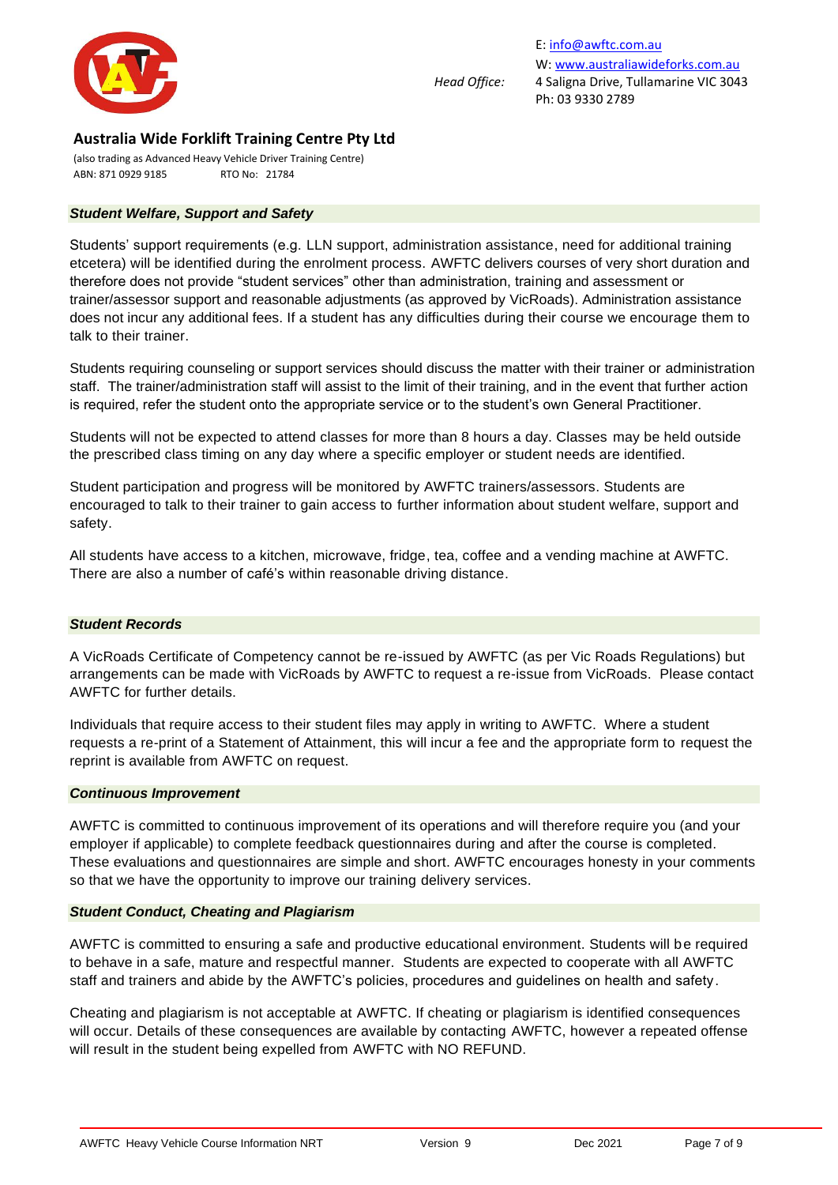

(also trading as Advanced Heavy Vehicle Driver Training Centre) ABN: 871 0929 9185 RTO No: 21784

#### *Student Welfare, Support and Safety*

Students' support requirements (e.g. LLN support, administration assistance, need for additional training etcetera) will be identified during the enrolment process. AWFTC delivers courses of very short duration and therefore does not provide "student services" other than administration, training and assessment or trainer/assessor support and reasonable adjustments (as approved by VicRoads). Administration assistance does not incur any additional fees. If a student has any difficulties during their course we encourage them to talk to their trainer.

Students requiring counseling or support services should discuss the matter with their trainer or administration staff. The trainer/administration staff will assist to the limit of their training, and in the event that further action is required, refer the student onto the appropriate service or to the student's own General Practitioner.

Students will not be expected to attend classes for more than 8 hours a day. Classes may be held outside the prescribed class timing on any day where a specific employer or student needs are identified.

Student participation and progress will be monitored by AWFTC trainers/assessors. Students are encouraged to talk to their trainer to gain access to further information about student welfare, support and safety.

All students have access to a kitchen, microwave, fridge, tea, coffee and a vending machine at AWFTC. There are also a number of café's within reasonable driving distance.

#### *Student Records*

A VicRoads Certificate of Competency cannot be re-issued by AWFTC (as per Vic Roads Regulations) but arrangements can be made with VicRoads by AWFTC to request a re-issue from VicRoads. Please contact AWFTC for further details.

Individuals that require access to their student files may apply in writing to AWFTC. Where a student requests a re-print of a Statement of Attainment, this will incur a fee and the appropriate form to request the reprint is available from AWFTC on request.

#### *Continuous Improvement*

AWFTC is committed to continuous improvement of its operations and will therefore require you (and your employer if applicable) to complete feedback questionnaires during and after the course is completed. These evaluations and questionnaires are simple and short. AWFTC encourages honesty in your comments so that we have the opportunity to improve our training delivery services.

#### *Student Conduct, Cheating and Plagiarism*

AWFTC is committed to ensuring a safe and productive educational environment. Students will be required to behave in a safe, mature and respectful manner. Students are expected to cooperate with all AWFTC staff and trainers and abide by the AWFTC's policies, procedures and guidelines on health and safety.

Cheating and plagiarism is not acceptable at AWFTC. If cheating or plagiarism is identified consequences will occur. Details of these consequences are available by contacting AWFTC, however a repeated offense will result in the student being expelled from AWFTC with NO REFUND.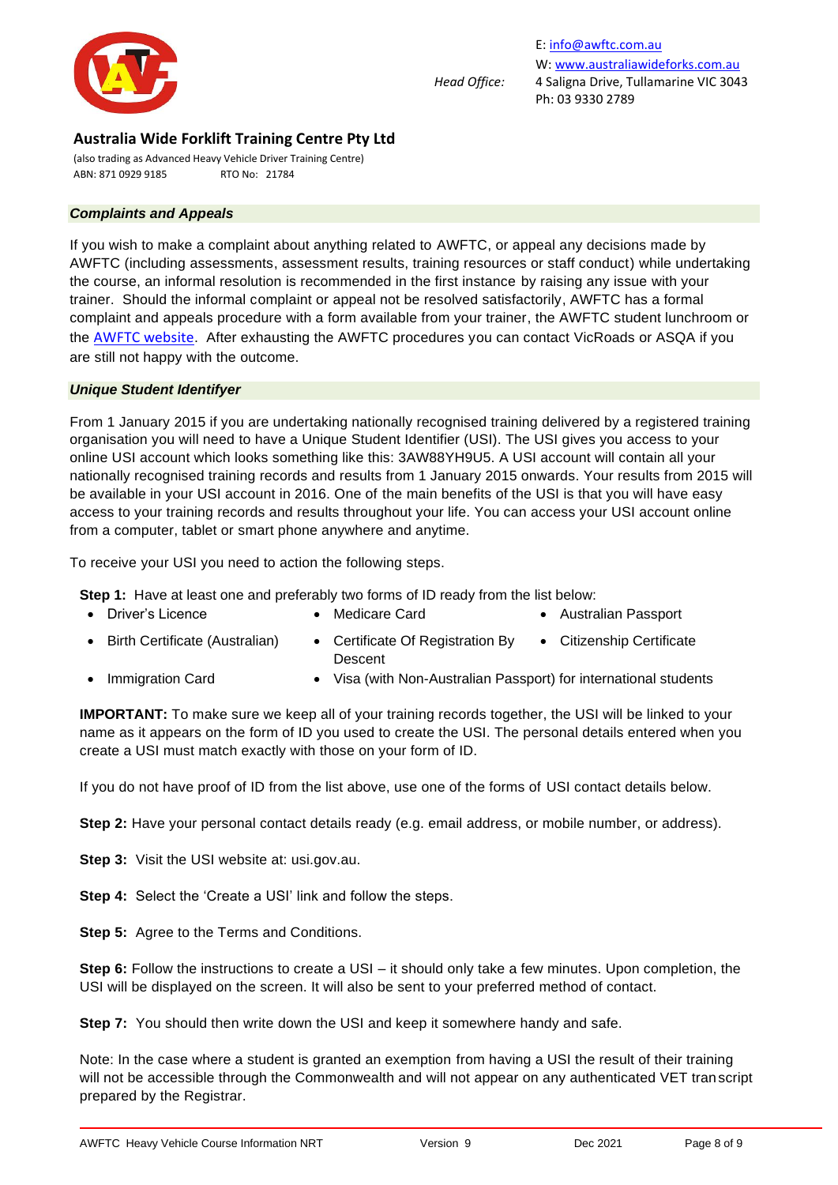

(also trading as Advanced Heavy Vehicle Driver Training Centre) ABN: 871 0929 9185 RTO No: 21784

#### *Complaints and Appeals*

If you wish to make a complaint about anything related to AWFTC, or appeal any decisions made by AWFTC (including assessments, assessment results, training resources or staff conduct) while undertaking the course, an informal resolution is recommended in the first instance by raising any issue with your trainer. Should the informal complaint or appeal not be resolved satisfactorily, AWFTC has a formal complaint and appeals procedure with a form available from your trainer, the AWFTC student lunchroom or the **[AWFTC website](https://irp-cdn.multiscreensite.com/2142eb1e/files/uploaded/AWFTC%20Complaints%20and%20Appeals%20Form_BWdkT5SQiy3JnWqlLLFQ.pdf)**. After exhausting the AWFTC procedures you can contact VicRoads or ASQA if you are still not happy with the outcome.

#### *Unique Student Identifyer*

From 1 January 2015 if you are undertaking nationally recognised training delivered by a registered training organisation you will need to have a Unique Student Identifier (USI). The USI gives you access to your online USI account which looks something like this: 3AW88YH9U5. A USI account will contain all your nationally recognised training records and results from 1 January 2015 onwards. Your results from 2015 will be available in your USI account in 2016. One of the main benefits of the USI is that you will have easy access to your training records and results throughout your life. You can access your USI account online from a computer, tablet or smart phone anywhere and anytime.

To receive your USI you need to action the following steps.

**Step 1:** Have at least one and preferably two forms of ID ready from the list below:

- Driver's Licence Medicare Card Australian Passport
	-
- 
- Birth Certificate (Australian) Certificate Of Registration By • Citizenship Certificate
	- Descent
- Immigration Card Visa (with Non-Australian Passport) for international students

**IMPORTANT:** To make sure we keep all of your training records together, the USI will be linked to your name as it appears on the form of ID you used to create the USI. The personal details entered when you create a USI must match exactly with those on your form of ID.

If you do not have proof of ID from the list above, use one of the forms of USI contact details below.

**Step 2:** Have your personal contact details ready (e.g. email address, or mobile number, or address).

**Step 3:** Visit the USI website at: usi.gov.au.

**Step 4:** Select the 'Create a USI' link and follow the steps.

**Step 5:** Agree to the Terms and Conditions.

**Step 6:** Follow the instructions to create a USI – it should only take a few minutes. Upon completion, the USI will be displayed on the screen. It will also be sent to your preferred method of contact.

**Step 7:** You should then write down the USI and keep it somewhere handy and safe.

Note: In the case where a student is granted an exemption from having a USI the result of their training will not be accessible through the Commonwealth and will not appear on any authenticated VET transcript prepared by the Registrar.